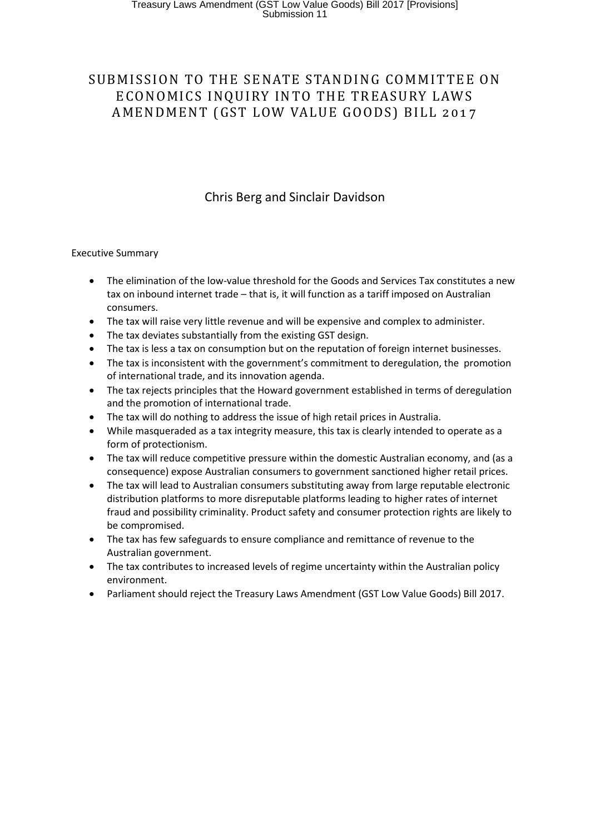# SUBMISSION TO THE SENATE STANDING COMMITTEE ON ECONOMICS INQUIRY INTO THE TREASURY LAWS AMENDMENT (GST LOW VALUE GOODS) BILL 2017

# Chris Berg and Sinclair Davidson

#### Executive Summary

- The elimination of the low-value threshold for the Goods and Services Tax constitutes a new tax on inbound internet trade – that is, it will function as a tariff imposed on Australian consumers.
- The tax will raise very little revenue and will be expensive and complex to administer.
- The tax deviates substantially from the existing GST design.
- The tax is less a tax on consumption but on the reputation of foreign internet businesses.
- The tax is inconsistent with the government's commitment to deregulation, the promotion of international trade, and its innovation agenda.
- The tax rejects principles that the Howard government established in terms of deregulation and the promotion of international trade.
- The tax will do nothing to address the issue of high retail prices in Australia.
- While masqueraded as a tax integrity measure, this tax is clearly intended to operate as a form of protectionism.
- The tax will reduce competitive pressure within the domestic Australian economy, and (as a consequence) expose Australian consumers to government sanctioned higher retail prices.
- The tax will lead to Australian consumers substituting away from large reputable electronic distribution platforms to more disreputable platforms leading to higher rates of internet fraud and possibility criminality. Product safety and consumer protection rights are likely to be compromised.
- The tax has few safeguards to ensure compliance and remittance of revenue to the Australian government.
- The tax contributes to increased levels of regime uncertainty within the Australian policy environment.
- Parliament should reject the Treasury Laws Amendment (GST Low Value Goods) Bill 2017.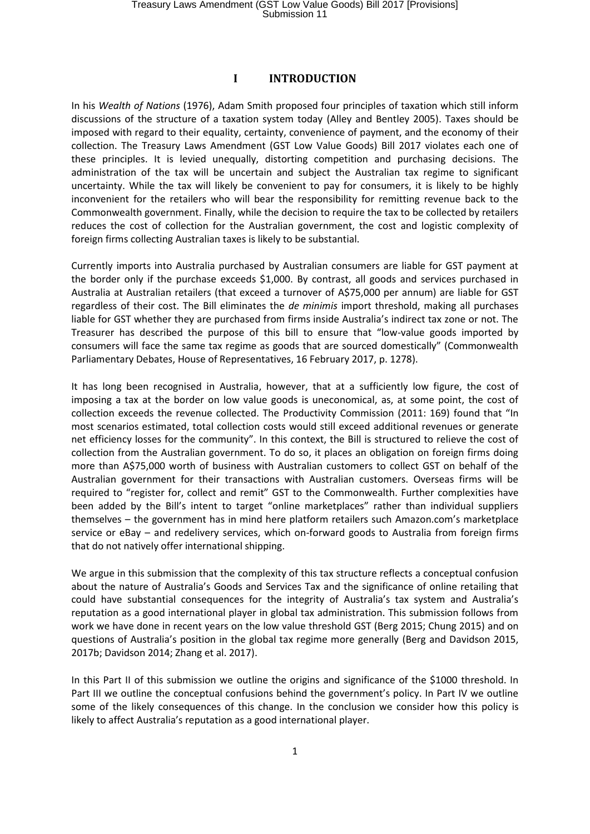#### **I INTRODUCTION**

In his *Wealth of Nations* (1976), Adam Smith proposed four principles of taxation which still inform discussions of the structure of a taxation system today (Alley and Bentley 2005). Taxes should be imposed with regard to their equality, certainty, convenience of payment, and the economy of their collection. The Treasury Laws Amendment (GST Low Value Goods) Bill 2017 violates each one of these principles. It is levied unequally, distorting competition and purchasing decisions. The administration of the tax will be uncertain and subject the Australian tax regime to significant uncertainty. While the tax will likely be convenient to pay for consumers, it is likely to be highly inconvenient for the retailers who will bear the responsibility for remitting revenue back to the Commonwealth government. Finally, while the decision to require the tax to be collected by retailers reduces the cost of collection for the Australian government, the cost and logistic complexity of foreign firms collecting Australian taxes is likely to be substantial.

Currently imports into Australia purchased by Australian consumers are liable for GST payment at the border only if the purchase exceeds \$1,000. By contrast, all goods and services purchased in Australia at Australian retailers (that exceed a turnover of A\$75,000 per annum) are liable for GST regardless of their cost. The Bill eliminates the *de minimis* import threshold, making all purchases liable for GST whether they are purchased from firms inside Australia's indirect tax zone or not. The Treasurer has described the purpose of this bill to ensure that "low-value goods imported by consumers will face the same tax regime as goods that are sourced domestically" (Commonwealth Parliamentary Debates, House of Representatives, 16 February 2017, p. 1278).

It has long been recognised in Australia, however, that at a sufficiently low figure, the cost of imposing a tax at the border on low value goods is uneconomical, as, at some point, the cost of collection exceeds the revenue collected. The Productivity Commission (2011: 169) found that "In most scenarios estimated, total collection costs would still exceed additional revenues or generate net efficiency losses for the community". In this context, the Bill is structured to relieve the cost of collection from the Australian government. To do so, it places an obligation on foreign firms doing more than A\$75,000 worth of business with Australian customers to collect GST on behalf of the Australian government for their transactions with Australian customers. Overseas firms will be required to "register for, collect and remit" GST to the Commonwealth. Further complexities have been added by the Bill's intent to target "online marketplaces" rather than individual suppliers themselves – the government has in mind here platform retailers such Amazon.com's marketplace service or eBay – and redelivery services, which on-forward goods to Australia from foreign firms that do not natively offer international shipping.

We argue in this submission that the complexity of this tax structure reflects a conceptual confusion about the nature of Australia's Goods and Services Tax and the significance of online retailing that could have substantial consequences for the integrity of Australia's tax system and Australia's reputation as a good international player in global tax administration. This submission follows from work we have done in recent years on the low value threshold GST (Berg 2015; Chung 2015) and on questions of Australia's position in the global tax regime more generally (Berg and Davidson 2015, 2017b; Davidson 2014; Zhang et al. 2017).

In this Part II of this submission we outline the origins and significance of the \$1000 threshold. In Part III we outline the conceptual confusions behind the government's policy. In Part IV we outline some of the likely consequences of this change. In the conclusion we consider how this policy is likely to affect Australia's reputation as a good international player.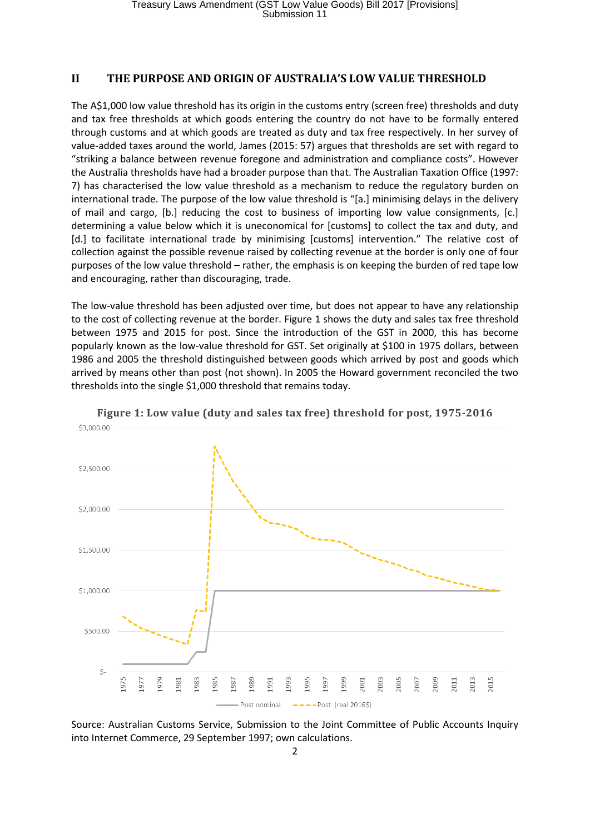## **II THE PURPOSE AND ORIGIN OF AUSTRALIA'S LOW VALUE THRESHOLD**

The A\$1,000 low value threshold has its origin in the customs entry (screen free) thresholds and duty and tax free thresholds at which goods entering the country do not have to be formally entered through customs and at which goods are treated as duty and tax free respectively. In her survey of value-added taxes around the world, James (2015: 57) argues that thresholds are set with regard to "striking a balance between revenue foregone and administration and compliance costs". However the Australia thresholds have had a broader purpose than that. The Australian Taxation Office (1997: 7) has characterised the low value threshold as a mechanism to reduce the regulatory burden on international trade. The purpose of the low value threshold is "[a.] minimising delays in the delivery of mail and cargo, [b.] reducing the cost to business of importing low value consignments, [c.] determining a value below which it is uneconomical for [customs] to collect the tax and duty, and [d.] to facilitate international trade by minimising [customs] intervention." The relative cost of collection against the possible revenue raised by collecting revenue at the border is only one of four purposes of the low value threshold – rather, the emphasis is on keeping the burden of red tape low and encouraging, rather than discouraging, trade.

The low-value threshold has been adjusted over time, but does not appear to have any relationship to the cost of collecting revenue at the border. [Figure 1](#page-2-0) shows the duty and sales tax free threshold between 1975 and 2015 for post. Since the introduction of the GST in 2000, this has become popularly known as the low-value threshold for GST. Set originally at \$100 in 1975 dollars, between 1986 and 2005 the threshold distinguished between goods which arrived by post and goods which arrived by means other than post (not shown). In 2005 the Howard government reconciled the two thresholds into the single \$1,000 threshold that remains today.

<span id="page-2-0"></span>

**Figure 1: Low value (duty and sales tax free) threshold for post, 1975-2016**

Source: Australian Customs Service, Submission to the Joint Committee of Public Accounts Inquiry into Internet Commerce, 29 September 1997; own calculations.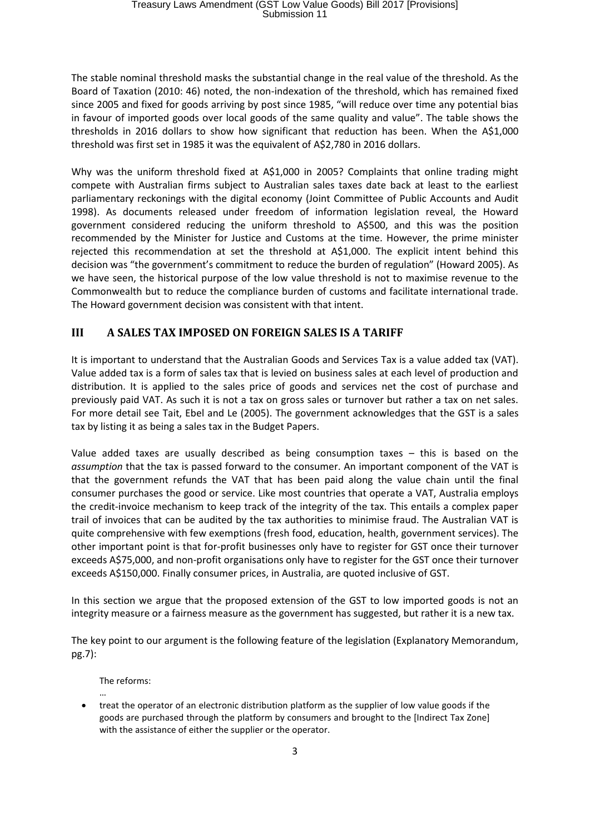The stable nominal threshold masks the substantial change in the real value of the threshold. As the Board of Taxation (2010: 46) noted, the non-indexation of the threshold, which has remained fixed since 2005 and fixed for goods arriving by post since 1985, "will reduce over time any potential bias in favour of imported goods over local goods of the same quality and value". The table shows the thresholds in 2016 dollars to show how significant that reduction has been. When the A\$1,000 threshold was first set in 1985 it was the equivalent of A\$2,780 in 2016 dollars.

Why was the uniform threshold fixed at A\$1,000 in 2005? Complaints that online trading might compete with Australian firms subject to Australian sales taxes date back at least to the earliest parliamentary reckonings with the digital economy (Joint Committee of Public Accounts and Audit 1998). As documents released under freedom of information legislation reveal, the Howard government considered reducing the uniform threshold to A\$500, and this was the position recommended by the Minister for Justice and Customs at the time. However, the prime minister rejected this recommendation at set the threshold at A\$1,000. The explicit intent behind this decision was "the government's commitment to reduce the burden of regulation" (Howard 2005). As we have seen, the historical purpose of the low value threshold is not to maximise revenue to the Commonwealth but to reduce the compliance burden of customs and facilitate international trade. The Howard government decision was consistent with that intent.

# **III A SALES TAX IMPOSED ON FOREIGN SALES IS A TARIFF**

It is important to understand that the Australian Goods and Services Tax is a value added tax (VAT). Value added tax is a form of sales tax that is levied on business sales at each level of production and distribution. It is applied to the sales price of goods and services net the cost of purchase and previously paid VAT. As such it is not a tax on gross sales or turnover but rather a tax on net sales. For more detail see Tait, Ebel and Le (2005). The government acknowledges that the GST is a sales tax by listing it as being a sales tax in the Budget Papers.

Value added taxes are usually described as being consumption taxes – this is based on the *assumption* that the tax is passed forward to the consumer. An important component of the VAT is that the government refunds the VAT that has been paid along the value chain until the final consumer purchases the good or service. Like most countries that operate a VAT, Australia employs the credit-invoice mechanism to keep track of the integrity of the tax. This entails a complex paper trail of invoices that can be audited by the tax authorities to minimise fraud. The Australian VAT is quite comprehensive with few exemptions (fresh food, education, health, government services). The other important point is that for-profit businesses only have to register for GST once their turnover exceeds A\$75,000, and non-profit organisations only have to register for the GST once their turnover exceeds A\$150,000. Finally consumer prices, in Australia, are quoted inclusive of GST.

In this section we argue that the proposed extension of the GST to low imported goods is not an integrity measure or a fairness measure as the government has suggested, but rather it is a new tax.

The key point to our argument is the following feature of the legislation (Explanatory Memorandum, pg.7):

The reforms:

… treat the operator of an electronic distribution platform as the supplier of low value goods if the goods are purchased through the platform by consumers and brought to the [Indirect Tax Zone] with the assistance of either the supplier or the operator.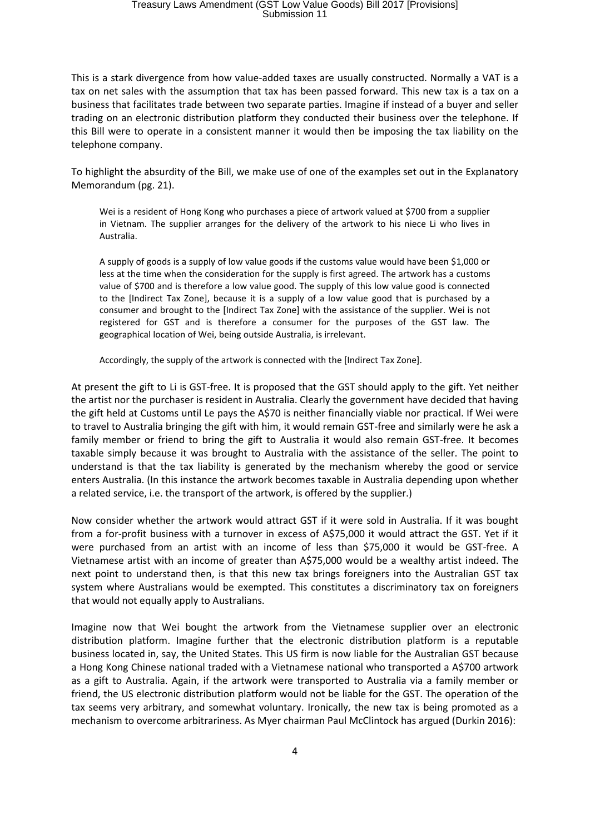# Treasury Laws Amendment (GST Low Value Goods) Bill 2017 [Provisions] Submission 11

This is a stark divergence from how value-added taxes are usually constructed. Normally a VAT is a tax on net sales with the assumption that tax has been passed forward. This new tax is a tax on a business that facilitates trade between two separate parties. Imagine if instead of a buyer and seller trading on an electronic distribution platform they conducted their business over the telephone. If this Bill were to operate in a consistent manner it would then be imposing the tax liability on the telephone company.

To highlight the absurdity of the Bill, we make use of one of the examples set out in the Explanatory Memorandum (pg. 21).

Wei is a resident of Hong Kong who purchases a piece of artwork valued at \$700 from a supplier in Vietnam. The supplier arranges for the delivery of the artwork to his niece Li who lives in Australia.

A supply of goods is a supply of low value goods if the customs value would have been \$1,000 or less at the time when the consideration for the supply is first agreed. The artwork has a customs value of \$700 and is therefore a low value good. The supply of this low value good is connected to the [Indirect Tax Zone], because it is a supply of a low value good that is purchased by a consumer and brought to the [Indirect Tax Zone] with the assistance of the supplier. Wei is not registered for GST and is therefore a consumer for the purposes of the GST law. The geographical location of Wei, being outside Australia, is irrelevant.

Accordingly, the supply of the artwork is connected with the [Indirect Tax Zone].

At present the gift to Li is GST-free. It is proposed that the GST should apply to the gift. Yet neither the artist nor the purchaser is resident in Australia. Clearly the government have decided that having the gift held at Customs until Le pays the A\$70 is neither financially viable nor practical. If Wei were to travel to Australia bringing the gift with him, it would remain GST-free and similarly were he ask a family member or friend to bring the gift to Australia it would also remain GST-free. It becomes taxable simply because it was brought to Australia with the assistance of the seller. The point to understand is that the tax liability is generated by the mechanism whereby the good or service enters Australia. (In this instance the artwork becomes taxable in Australia depending upon whether a related service, i.e. the transport of the artwork, is offered by the supplier.)

Now consider whether the artwork would attract GST if it were sold in Australia. If it was bought from a for-profit business with a turnover in excess of A\$75,000 it would attract the GST. Yet if it were purchased from an artist with an income of less than \$75,000 it would be GST-free. A Vietnamese artist with an income of greater than A\$75,000 would be a wealthy artist indeed. The next point to understand then, is that this new tax brings foreigners into the Australian GST tax system where Australians would be exempted. This constitutes a discriminatory tax on foreigners that would not equally apply to Australians.

Imagine now that Wei bought the artwork from the Vietnamese supplier over an electronic distribution platform. Imagine further that the electronic distribution platform is a reputable business located in, say, the United States. This US firm is now liable for the Australian GST because a Hong Kong Chinese national traded with a Vietnamese national who transported a A\$700 artwork as a gift to Australia. Again, if the artwork were transported to Australia via a family member or friend, the US electronic distribution platform would not be liable for the GST. The operation of the tax seems very arbitrary, and somewhat voluntary. Ironically, the new tax is being promoted as a mechanism to overcome arbitrariness. As Myer chairman Paul McClintock has argued (Durkin 2016):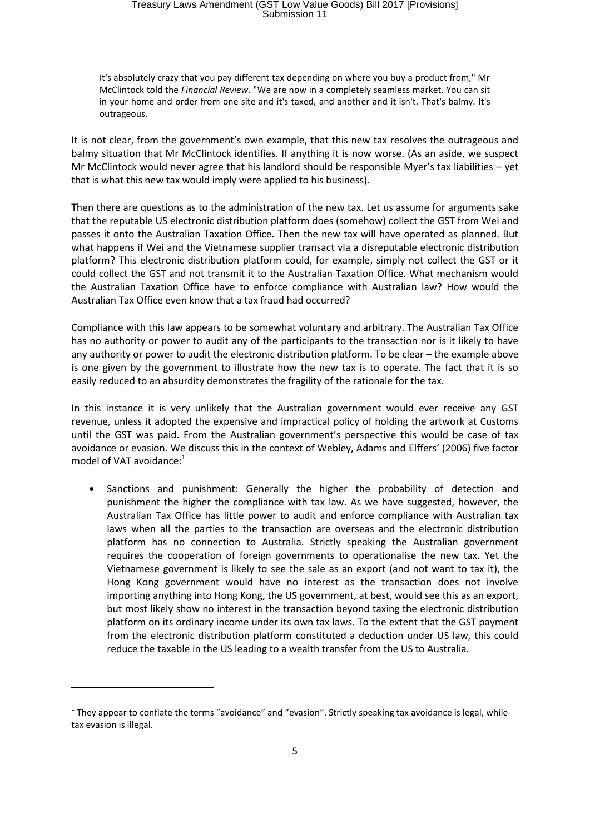It's absolutely crazy that you pay different tax depending on where you buy a product from," Mr McClintock told the *Financial Review*. "We are now in a completely seamless market. You can sit in your home and order from one site and it's taxed, and another and it isn't. That's balmy. It's outrageous.

It is not clear, from the government's own example, that this new tax resolves the outrageous and balmy situation that Mr McClintock identifies. If anything it is now worse. (As an aside, we suspect Mr McClintock would never agree that his landlord should be responsible Myer's tax liabilities – yet that is what this new tax would imply were applied to his business).

Then there are questions as to the administration of the new tax. Let us assume for arguments sake that the reputable US electronic distribution platform does (somehow) collect the GST from Wei and passes it onto the Australian Taxation Office. Then the new tax will have operated as planned. But what happens if Wei and the Vietnamese supplier transact via a disreputable electronic distribution platform? This electronic distribution platform could, for example, simply not collect the GST or it could collect the GST and not transmit it to the Australian Taxation Office. What mechanism would the Australian Taxation Office have to enforce compliance with Australian law? How would the Australian Tax Office even know that a tax fraud had occurred?

Compliance with this law appears to be somewhat voluntary and arbitrary. The Australian Tax Office has no authority or power to audit any of the participants to the transaction nor is it likely to have any authority or power to audit the electronic distribution platform. To be clear – the example above is one given by the government to illustrate how the new tax is to operate. The fact that it is so easily reduced to an absurdity demonstrates the fragility of the rationale for the tax.

In this instance it is very unlikely that the Australian government would ever receive any GST revenue, unless it adopted the expensive and impractical policy of holding the artwork at Customs until the GST was paid. From the Australian government's perspective this would be case of tax avoidance or evasion. We discuss this in the context of Webley, Adams and Elffers' (2006) five factor model of VAT avoidance:<sup>1</sup>

 Sanctions and punishment: Generally the higher the probability of detection and punishment the higher the compliance with tax law. As we have suggested, however, the Australian Tax Office has little power to audit and enforce compliance with Australian tax laws when all the parties to the transaction are overseas and the electronic distribution platform has no connection to Australia. Strictly speaking the Australian government requires the cooperation of foreign governments to operationalise the new tax. Yet the Vietnamese government is likely to see the sale as an export (and not want to tax it), the Hong Kong government would have no interest as the transaction does not involve importing anything into Hong Kong, the US government, at best, would see this as an export, but most likely show no interest in the transaction beyond taxing the electronic distribution platform on its ordinary income under its own tax laws. To the extent that the GST payment from the electronic distribution platform constituted a deduction under US law, this could reduce the taxable in the US leading to a wealth transfer from the US to Australia.

**.** 

 $1$  They appear to conflate the terms "avoidance" and "evasion". Strictly speaking tax avoidance is legal, while tax evasion is illegal.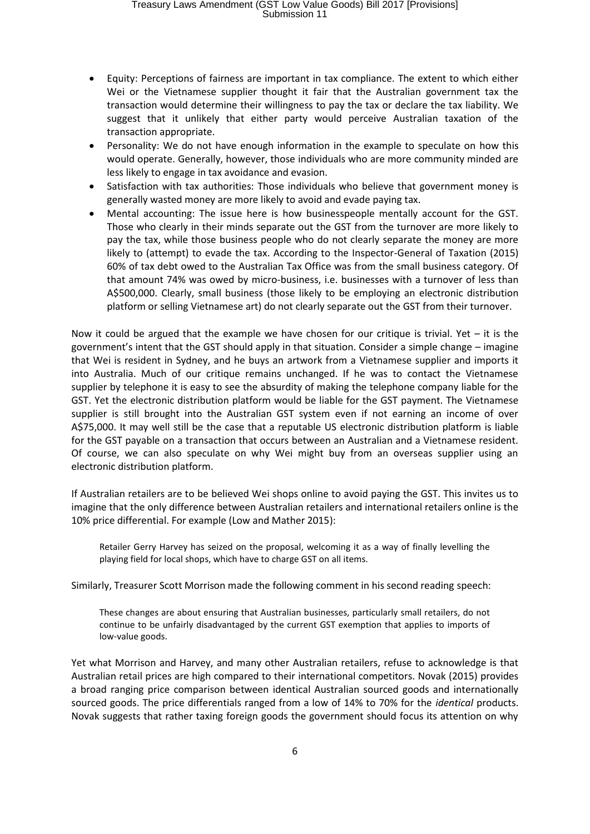# Treasury Laws Amendment (GST Low Value Goods) Bill 2017 [Provisions] Submission 11

- Equity: Perceptions of fairness are important in tax compliance. The extent to which either Wei or the Vietnamese supplier thought it fair that the Australian government tax the transaction would determine their willingness to pay the tax or declare the tax liability. We suggest that it unlikely that either party would perceive Australian taxation of the transaction appropriate.
- Personality: We do not have enough information in the example to speculate on how this would operate. Generally, however, those individuals who are more community minded are less likely to engage in tax avoidance and evasion.
- Satisfaction with tax authorities: Those individuals who believe that government money is generally wasted money are more likely to avoid and evade paying tax.
- Mental accounting: The issue here is how businesspeople mentally account for the GST. Those who clearly in their minds separate out the GST from the turnover are more likely to pay the tax, while those business people who do not clearly separate the money are more likely to (attempt) to evade the tax. According to the Inspector-General of Taxation (2015) 60% of tax debt owed to the Australian Tax Office was from the small business category. Of that amount 74% was owed by micro-business, i.e. businesses with a turnover of less than A\$500,000. Clearly, small business (those likely to be employing an electronic distribution platform or selling Vietnamese art) do not clearly separate out the GST from their turnover.

Now it could be argued that the example we have chosen for our critique is trivial. Yet  $-$  it is the government's intent that the GST should apply in that situation. Consider a simple change – imagine that Wei is resident in Sydney, and he buys an artwork from a Vietnamese supplier and imports it into Australia. Much of our critique remains unchanged. If he was to contact the Vietnamese supplier by telephone it is easy to see the absurdity of making the telephone company liable for the GST. Yet the electronic distribution platform would be liable for the GST payment. The Vietnamese supplier is still brought into the Australian GST system even if not earning an income of over A\$75,000. It may well still be the case that a reputable US electronic distribution platform is liable for the GST payable on a transaction that occurs between an Australian and a Vietnamese resident. Of course, we can also speculate on why Wei might buy from an overseas supplier using an electronic distribution platform.

If Australian retailers are to be believed Wei shops online to avoid paying the GST. This invites us to imagine that the only difference between Australian retailers and international retailers online is the 10% price differential. For example (Low and Mather 2015):

Retailer Gerry Harvey has seized on the proposal, welcoming it as a way of finally levelling the playing field for local shops, which have to charge GST on all items.

Similarly, Treasurer Scott Morrison made the following comment in his second reading speech:

These changes are about ensuring that Australian businesses, particularly small retailers, do not continue to be unfairly disadvantaged by the current GST exemption that applies to imports of low-value goods.

Yet what Morrison and Harvey, and many other Australian retailers, refuse to acknowledge is that Australian retail prices are high compared to their international competitors. Novak (2015) provides a broad ranging price comparison between identical Australian sourced goods and internationally sourced goods. The price differentials ranged from a low of 14% to 70% for the *identical* products. Novak suggests that rather taxing foreign goods the government should focus its attention on why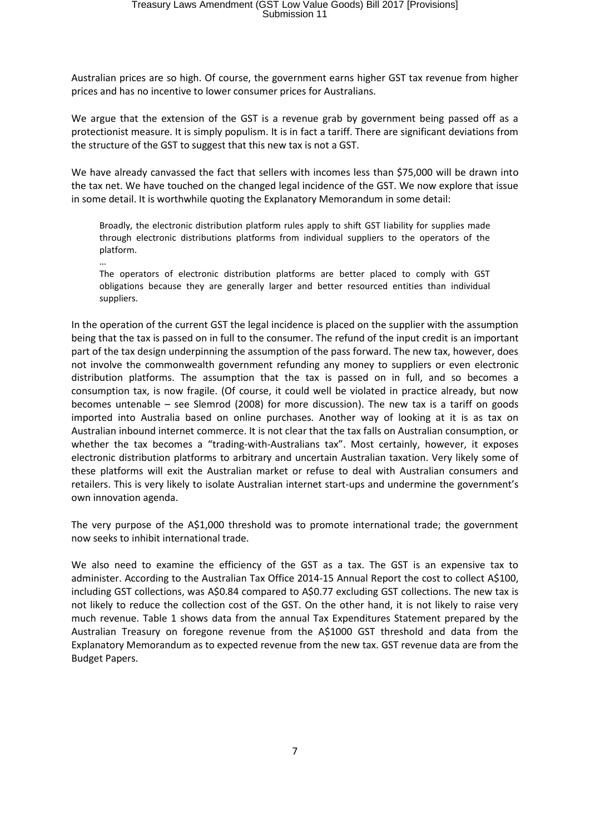Australian prices are so high. Of course, the government earns higher GST tax revenue from higher prices and has no incentive to lower consumer prices for Australians.

We argue that the extension of the GST is a revenue grab by government being passed off as a protectionist measure. It is simply populism. It is in fact a tariff. There are significant deviations from the structure of the GST to suggest that this new tax is not a GST.

We have already canvassed the fact that sellers with incomes less than \$75,000 will be drawn into the tax net. We have touched on the changed legal incidence of the GST. We now explore that issue in some detail. It is worthwhile quoting the Explanatory Memorandum in some detail:

Broadly, the electronic distribution platform rules apply to shift GST liability for supplies made through electronic distributions platforms from individual suppliers to the operators of the platform.

… The operators of electronic distribution platforms are better placed to comply with GST obligations because they are generally larger and better resourced entities than individual suppliers.

In the operation of the current GST the legal incidence is placed on the supplier with the assumption being that the tax is passed on in full to the consumer. The refund of the input credit is an important part of the tax design underpinning the assumption of the pass forward. The new tax, however, does not involve the commonwealth government refunding any money to suppliers or even electronic distribution platforms. The assumption that the tax is passed on in full, and so becomes a consumption tax, is now fragile. (Of course, it could well be violated in practice already, but now becomes untenable – see Slemrod (2008) for more discussion). The new tax is a tariff on goods imported into Australia based on online purchases. Another way of looking at it is as tax on Australian inbound internet commerce. It is not clear that the tax falls on Australian consumption, or whether the tax becomes a "trading-with-Australians tax". Most certainly, however, it exposes electronic distribution platforms to arbitrary and uncertain Australian taxation. Very likely some of these platforms will exit the Australian market or refuse to deal with Australian consumers and retailers. This is very likely to isolate Australian internet start-ups and undermine the government's own innovation agenda.

The very purpose of the A\$1,000 threshold was to promote international trade; the government now seeks to inhibit international trade.

We also need to examine the efficiency of the GST as a tax. The GST is an expensive tax to administer. According to the Australian Tax Office 2014-15 Annual Report the cost to collect A\$100, including GST collections, was A\$0.84 compared to A\$0.77 excluding GST collections. The new tax is not likely to reduce the collection cost of the GST. On the other hand, it is not likely to raise very much revenue. Table 1 shows data from the annual Tax Expenditures Statement prepared by the Australian Treasury on foregone revenue from the A\$1000 GST threshold and data from the Explanatory Memorandum as to expected revenue from the new tax. GST revenue data are from the Budget Papers.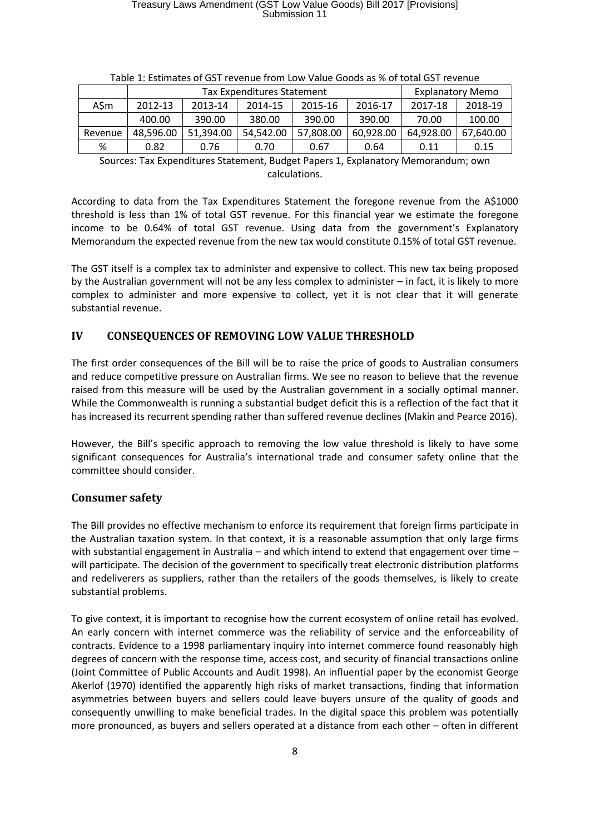|         | Tax Expenditures Statement |           |           |           | <b>Explanatory Memo</b> |           |           |
|---------|----------------------------|-----------|-----------|-----------|-------------------------|-----------|-----------|
| ASm     | 2012-13                    | 2013-14   | 2014-15   | 2015-16   | 2016-17                 | 2017-18   | 2018-19   |
|         | 400.00                     | 390.00    | 380.00    | 390.00    | 390.00                  | 70.00     | 100.00    |
| Revenue | 48.596.00                  | 51.394.00 | 54.542.00 | 57,808.00 | 60,928.00               | 64,928.00 | 67,640.00 |
| %       | 0.82                       | 0.76      | 0.70      | 0.67      | 0.64                    | 0.11      | 0.15      |

|  |  | Table 1: Estimates of GST revenue from Low Value Goods as % of total GST revenue |  |
|--|--|----------------------------------------------------------------------------------|--|
|--|--|----------------------------------------------------------------------------------|--|

Sources: Tax Expenditures Statement, Budget Papers 1, Explanatory Memorandum; own calculations.

According to data from the Tax Expenditures Statement the foregone revenue from the A\$1000 threshold is less than 1% of total GST revenue. For this financial year we estimate the foregone income to be 0.64% of total GST revenue. Using data from the government's Explanatory Memorandum the expected revenue from the new tax would constitute 0.15% of total GST revenue.

The GST itself is a complex tax to administer and expensive to collect. This new tax being proposed by the Australian government will not be any less complex to administer – in fact, it is likely to more complex to administer and more expensive to collect, yet it is not clear that it will generate substantial revenue.

#### **IV CONSEQUENCES OF REMOVING LOW VALUE THRESHOLD**

The first order consequences of the Bill will be to raise the price of goods to Australian consumers and reduce competitive pressure on Australian firms. We see no reason to believe that the revenue raised from this measure will be used by the Australian government in a socially optimal manner. While the Commonwealth is running a substantial budget deficit this is a reflection of the fact that it has increased its recurrent spending rather than suffered revenue declines (Makin and Pearce 2016).

However, the Bill's specific approach to removing the low value threshold is likely to have some significant consequences for Australia's international trade and consumer safety online that the committee should consider.

#### **Consumer safety**

The Bill provides no effective mechanism to enforce its requirement that foreign firms participate in the Australian taxation system. In that context, it is a reasonable assumption that only large firms with substantial engagement in Australia – and which intend to extend that engagement over time – will participate. The decision of the government to specifically treat electronic distribution platforms and redeliverers as suppliers, rather than the retailers of the goods themselves, is likely to create substantial problems.

To give context, it is important to recognise how the current ecosystem of online retail has evolved. An early concern with internet commerce was the reliability of service and the enforceability of contracts. Evidence to a 1998 parliamentary inquiry into internet commerce found reasonably high degrees of concern with the response time, access cost, and security of financial transactions online (Joint Committee of Public Accounts and Audit 1998). An influential paper by the economist George Akerlof (1970) identified the apparently high risks of market transactions, finding that information asymmetries between buyers and sellers could leave buyers unsure of the quality of goods and consequently unwilling to make beneficial trades. In the digital space this problem was potentially more pronounced, as buyers and sellers operated at a distance from each other – often in different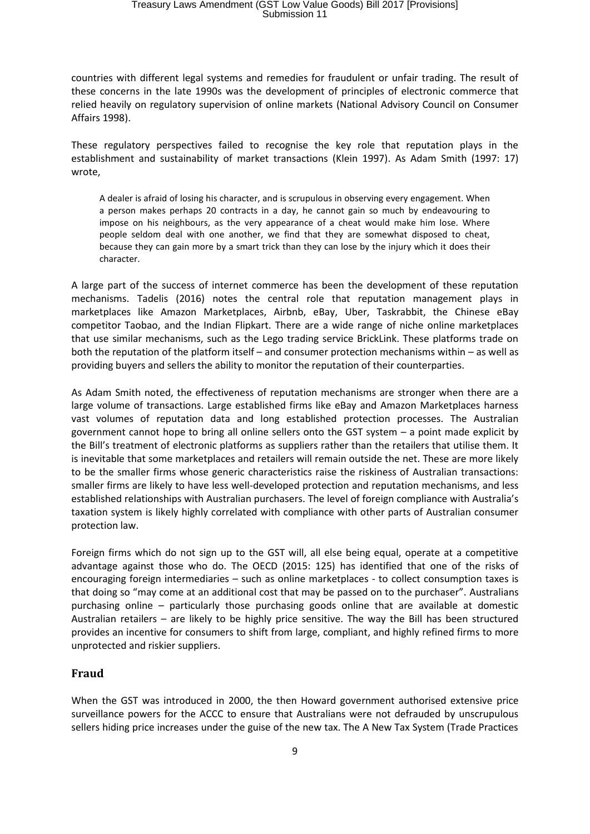countries with different legal systems and remedies for fraudulent or unfair trading. The result of these concerns in the late 1990s was the development of principles of electronic commerce that relied heavily on regulatory supervision of online markets (National Advisory Council on Consumer Affairs 1998).

These regulatory perspectives failed to recognise the key role that reputation plays in the establishment and sustainability of market transactions (Klein 1997). As Adam Smith (1997: 17) wrote,

A dealer is afraid of losing his character, and is scrupulous in observing every engagement. When a person makes perhaps 20 contracts in a day, he cannot gain so much by endeavouring to impose on his neighbours, as the very appearance of a cheat would make him lose. Where people seldom deal with one another, we find that they are somewhat disposed to cheat, because they can gain more by a smart trick than they can lose by the injury which it does their character.

A large part of the success of internet commerce has been the development of these reputation mechanisms. Tadelis (2016) notes the central role that reputation management plays in marketplaces like Amazon Marketplaces, Airbnb, eBay, Uber, Taskrabbit, the Chinese eBay competitor Taobao, and the Indian Flipkart. There are a wide range of niche online marketplaces that use similar mechanisms, such as the Lego trading service BrickLink. These platforms trade on both the reputation of the platform itself – and consumer protection mechanisms within – as well as providing buyers and sellers the ability to monitor the reputation of their counterparties.

As Adam Smith noted, the effectiveness of reputation mechanisms are stronger when there are a large volume of transactions. Large established firms like eBay and Amazon Marketplaces harness vast volumes of reputation data and long established protection processes. The Australian government cannot hope to bring all online sellers onto the GST system – a point made explicit by the Bill's treatment of electronic platforms as suppliers rather than the retailers that utilise them. It is inevitable that some marketplaces and retailers will remain outside the net. These are more likely to be the smaller firms whose generic characteristics raise the riskiness of Australian transactions: smaller firms are likely to have less well-developed protection and reputation mechanisms, and less established relationships with Australian purchasers. The level of foreign compliance with Australia's taxation system is likely highly correlated with compliance with other parts of Australian consumer protection law.

Foreign firms which do not sign up to the GST will, all else being equal, operate at a competitive advantage against those who do. The OECD (2015: 125) has identified that one of the risks of encouraging foreign intermediaries – such as online marketplaces - to collect consumption taxes is that doing so "may come at an additional cost that may be passed on to the purchaser". Australians purchasing online – particularly those purchasing goods online that are available at domestic Australian retailers – are likely to be highly price sensitive. The way the Bill has been structured provides an incentive for consumers to shift from large, compliant, and highly refined firms to more unprotected and riskier suppliers.

## **Fraud**

When the GST was introduced in 2000, the then Howard government authorised extensive price surveillance powers for the ACCC to ensure that Australians were not defrauded by unscrupulous sellers hiding price increases under the guise of the new tax. The A New Tax System (Trade Practices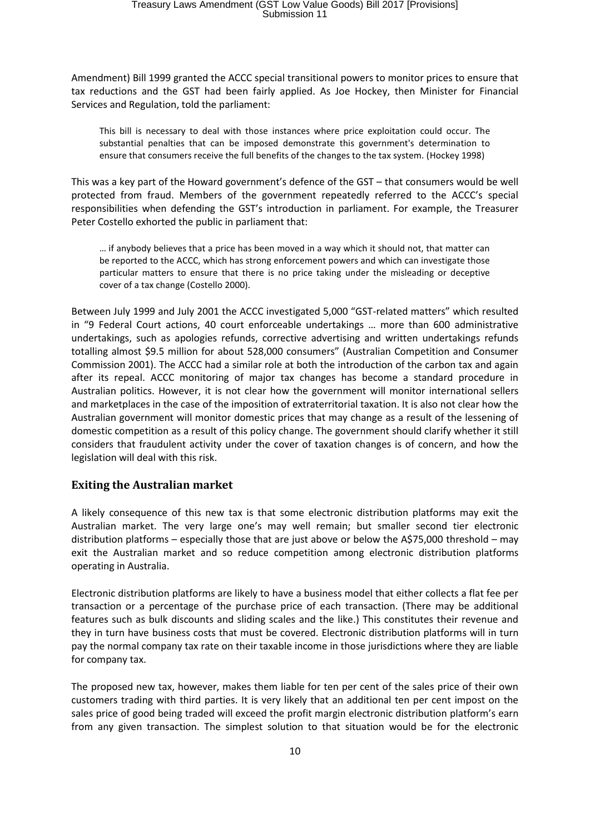Amendment) Bill 1999 granted the ACCC special transitional powers to monitor prices to ensure that tax reductions and the GST had been fairly applied. As Joe Hockey, then Minister for Financial Services and Regulation, told the parliament:

This bill is necessary to deal with those instances where price exploitation could occur. The substantial penalties that can be imposed demonstrate this government's determination to ensure that consumers receive the full benefits of the changes to the tax system. (Hockey 1998)

This was a key part of the Howard government's defence of the GST – that consumers would be well protected from fraud. Members of the government repeatedly referred to the ACCC's special responsibilities when defending the GST's introduction in parliament. For example, the Treasurer Peter Costello exhorted the public in parliament that:

… if anybody believes that a price has been moved in a way which it should not, that matter can be reported to the ACCC, which has strong enforcement powers and which can investigate those particular matters to ensure that there is no price taking under the misleading or deceptive cover of a tax change (Costello 2000).

Between July 1999 and July 2001 the ACCC investigated 5,000 "GST-related matters" which resulted in "9 Federal Court actions, 40 court enforceable undertakings … more than 600 administrative undertakings, such as apologies refunds, corrective advertising and written undertakings refunds totalling almost \$9.5 million for about 528,000 consumers" (Australian Competition and Consumer Commission 2001). The ACCC had a similar role at both the introduction of the carbon tax and again after its repeal. ACCC monitoring of major tax changes has become a standard procedure in Australian politics. However, it is not clear how the government will monitor international sellers and marketplaces in the case of the imposition of extraterritorial taxation. It is also not clear how the Australian government will monitor domestic prices that may change as a result of the lessening of domestic competition as a result of this policy change. The government should clarify whether it still considers that fraudulent activity under the cover of taxation changes is of concern, and how the legislation will deal with this risk.

## **Exiting the Australian market**

A likely consequence of this new tax is that some electronic distribution platforms may exit the Australian market. The very large one's may well remain; but smaller second tier electronic distribution platforms – especially those that are just above or below the A\$75,000 threshold – may exit the Australian market and so reduce competition among electronic distribution platforms operating in Australia.

Electronic distribution platforms are likely to have a business model that either collects a flat fee per transaction or a percentage of the purchase price of each transaction. (There may be additional features such as bulk discounts and sliding scales and the like.) This constitutes their revenue and they in turn have business costs that must be covered. Electronic distribution platforms will in turn pay the normal company tax rate on their taxable income in those jurisdictions where they are liable for company tax.

The proposed new tax, however, makes them liable for ten per cent of the sales price of their own customers trading with third parties. It is very likely that an additional ten per cent impost on the sales price of good being traded will exceed the profit margin electronic distribution platform's earn from any given transaction. The simplest solution to that situation would be for the electronic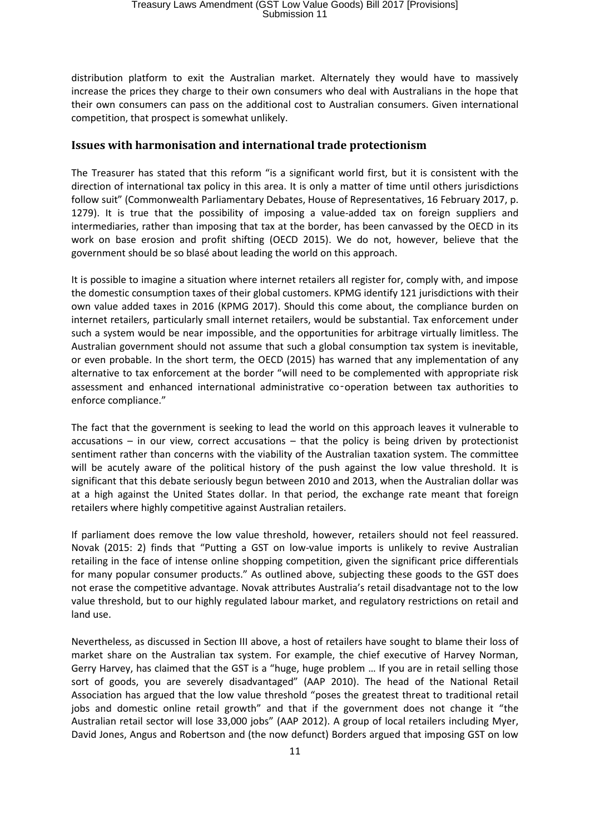distribution platform to exit the Australian market. Alternately they would have to massively increase the prices they charge to their own consumers who deal with Australians in the hope that their own consumers can pass on the additional cost to Australian consumers. Given international competition, that prospect is somewhat unlikely.

#### **Issues with harmonisation and international trade protectionism**

The Treasurer has stated that this reform "is a significant world first, but it is consistent with the direction of international tax policy in this area. It is only a matter of time until others jurisdictions follow suit" (Commonwealth Parliamentary Debates, House of Representatives, 16 February 2017, p. 1279). It is true that the possibility of imposing a value-added tax on foreign suppliers and intermediaries, rather than imposing that tax at the border, has been canvassed by the OECD in its work on base erosion and profit shifting (OECD 2015). We do not, however, believe that the government should be so blasé about leading the world on this approach.

It is possible to imagine a situation where internet retailers all register for, comply with, and impose the domestic consumption taxes of their global customers. KPMG identify 121 jurisdictions with their own value added taxes in 2016 (KPMG 2017). Should this come about, the compliance burden on internet retailers, particularly small internet retailers, would be substantial. Tax enforcement under such a system would be near impossible, and the opportunities for arbitrage virtually limitless. The Australian government should not assume that such a global consumption tax system is inevitable, or even probable. In the short term, the OECD (2015) has warned that any implementation of any alternative to tax enforcement at the border "will need to be complemented with appropriate risk assessment and enhanced international administrative co‑operation between tax authorities to enforce compliance."

The fact that the government is seeking to lead the world on this approach leaves it vulnerable to accusations – in our view, correct accusations – that the policy is being driven by protectionist sentiment rather than concerns with the viability of the Australian taxation system. The committee will be acutely aware of the political history of the push against the low value threshold. It is significant that this debate seriously begun between 2010 and 2013, when the Australian dollar was at a high against the United States dollar. In that period, the exchange rate meant that foreign retailers where highly competitive against Australian retailers.

If parliament does remove the low value threshold, however, retailers should not feel reassured. Novak (2015: 2) finds that "Putting a GST on low-value imports is unlikely to revive Australian retailing in the face of intense online shopping competition, given the significant price differentials for many popular consumer products." As outlined above, subjecting these goods to the GST does not erase the competitive advantage. Novak attributes Australia's retail disadvantage not to the low value threshold, but to our highly regulated labour market, and regulatory restrictions on retail and land use.

Nevertheless, as discussed in Section III above, a host of retailers have sought to blame their loss of market share on the Australian tax system. For example, the chief executive of Harvey Norman, Gerry Harvey, has claimed that the GST is a "huge, huge problem … If you are in retail selling those sort of goods, you are severely disadvantaged" (AAP 2010). The head of the National Retail Association has argued that the low value threshold "poses the greatest threat to traditional retail jobs and domestic online retail growth" and that if the government does not change it "the Australian retail sector will lose 33,000 jobs" (AAP 2012). A group of local retailers including Myer, David Jones, Angus and Robertson and (the now defunct) Borders argued that imposing GST on low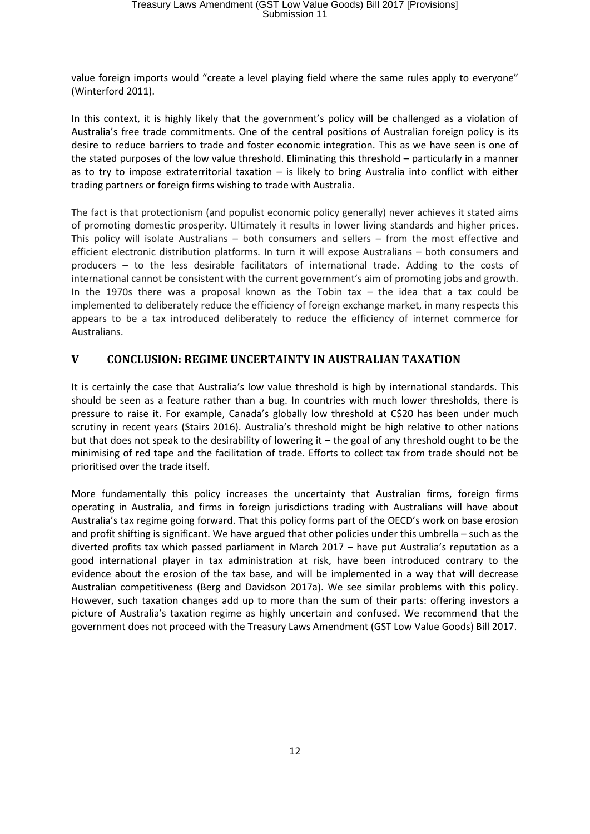value foreign imports would "create a level playing field where the same rules apply to everyone" (Winterford 2011).

In this context, it is highly likely that the government's policy will be challenged as a violation of Australia's free trade commitments. One of the central positions of Australian foreign policy is its desire to reduce barriers to trade and foster economic integration. This as we have seen is one of the stated purposes of the low value threshold. Eliminating this threshold – particularly in a manner as to try to impose extraterritorial taxation  $-$  is likely to bring Australia into conflict with either trading partners or foreign firms wishing to trade with Australia.

The fact is that protectionism (and populist economic policy generally) never achieves it stated aims of promoting domestic prosperity. Ultimately it results in lower living standards and higher prices. This policy will isolate Australians – both consumers and sellers – from the most effective and efficient electronic distribution platforms. In turn it will expose Australians – both consumers and producers – to the less desirable facilitators of international trade. Adding to the costs of international cannot be consistent with the current government's aim of promoting jobs and growth. In the 1970s there was a proposal known as the Tobin tax  $-$  the idea that a tax could be implemented to deliberately reduce the efficiency of foreign exchange market, in many respects this appears to be a tax introduced deliberately to reduce the efficiency of internet commerce for Australians.

## **V CONCLUSION: REGIME UNCERTAINTY IN AUSTRALIAN TAXATION**

It is certainly the case that Australia's low value threshold is high by international standards. This should be seen as a feature rather than a bug. In countries with much lower thresholds, there is pressure to raise it. For example, Canada's globally low threshold at C\$20 has been under much scrutiny in recent years (Stairs 2016). Australia's threshold might be high relative to other nations but that does not speak to the desirability of lowering it – the goal of any threshold ought to be the minimising of red tape and the facilitation of trade. Efforts to collect tax from trade should not be prioritised over the trade itself.

More fundamentally this policy increases the uncertainty that Australian firms, foreign firms operating in Australia, and firms in foreign jurisdictions trading with Australians will have about Australia's tax regime going forward. That this policy forms part of the OECD's work on base erosion and profit shifting is significant. We have argued that other policies under this umbrella – such as the diverted profits tax which passed parliament in March 2017 – have put Australia's reputation as a good international player in tax administration at risk, have been introduced contrary to the evidence about the erosion of the tax base, and will be implemented in a way that will decrease Australian competitiveness (Berg and Davidson 2017a). We see similar problems with this policy. However, such taxation changes add up to more than the sum of their parts: offering investors a picture of Australia's taxation regime as highly uncertain and confused. We recommend that the government does not proceed with the Treasury Laws Amendment (GST Low Value Goods) Bill 2017.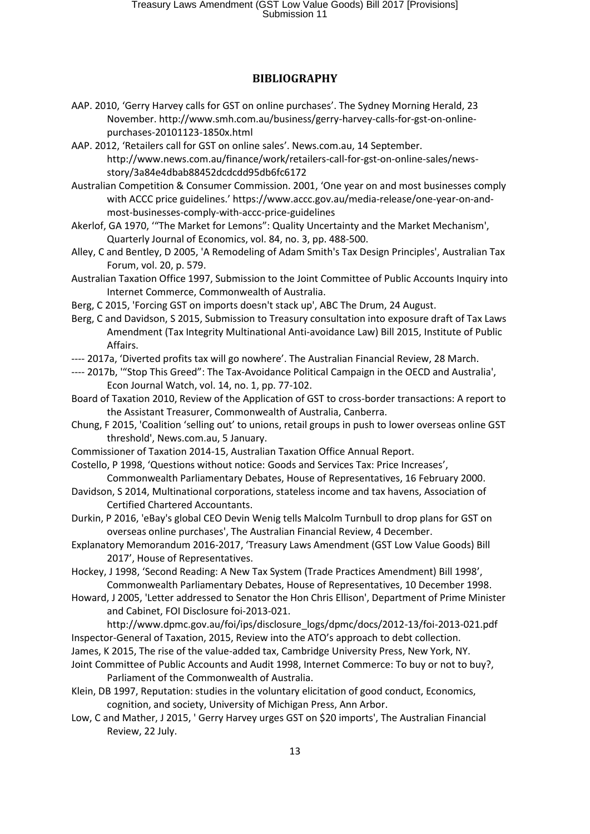#### **BIBLIOGRAPHY**

- AAP. 2010, 'Gerry Harvey calls for GST on online purchases'. The Sydney Morning Herald, 23 November. http://www.smh.com.au/business/gerry-harvey-calls-for-gst-on-onlinepurchases-20101123-1850x.html
- AAP. 2012, 'Retailers call for GST on online sales'. News.com.au, 14 September. http://www.news.com.au/finance/work/retailers-call-for-gst-on-online-sales/newsstory/3a84e4dbab88452dcdcdd95db6fc6172
- Australian Competition & Consumer Commission. 2001, 'One year on and most businesses comply with ACCC price guidelines.' https://www.accc.gov.au/media-release/one-year-on-andmost-businesses-comply-with-accc-price-guidelines
- Akerlof, GA 1970, '"The Market for Lemons": Quality Uncertainty and the Market Mechanism', Quarterly Journal of Economics, vol. 84, no. 3, pp. 488-500.
- Alley, C and Bentley, D 2005, 'A Remodeling of Adam Smith's Tax Design Principles', Australian Tax Forum, vol. 20, p. 579.
- Australian Taxation Office 1997, Submission to the Joint Committee of Public Accounts Inquiry into Internet Commerce, Commonwealth of Australia.
- Berg, C 2015, 'Forcing GST on imports doesn't stack up', ABC The Drum, 24 August.
- Berg, C and Davidson, S 2015, Submission to Treasury consultation into exposure draft of Tax Laws Amendment (Tax Integrity Multinational Anti-avoidance Law) Bill 2015, Institute of Public Affairs.
- ---- 2017a, 'Diverted profits tax will go nowhere'. The Australian Financial Review, 28 March.
- ---- 2017b, '"Stop This Greed": The Tax-Avoidance Political Campaign in the OECD and Australia', Econ Journal Watch, vol. 14, no. 1, pp. 77-102.
- Board of Taxation 2010, Review of the Application of GST to cross-border transactions: A report to the Assistant Treasurer, Commonwealth of Australia, Canberra.
- Chung, F 2015, 'Coalition 'selling out' to unions, retail groups in push to lower overseas online GST threshold', News.com.au, 5 January.
- Commissioner of Taxation 2014-15, Australian Taxation Office Annual Report.
- Costello, P 1998, 'Questions without notice: Goods and Services Tax: Price Increases', Commonwealth Parliamentary Debates, House of Representatives, 16 February 2000.
- Davidson, S 2014, Multinational corporations, stateless income and tax havens, Association of Certified Chartered Accountants.
- Durkin, P 2016, 'eBay's global CEO Devin Wenig tells Malcolm Turnbull to drop plans for GST on overseas online purchases', The Australian Financial Review, 4 December.
- Explanatory Memorandum 2016-2017, 'Treasury Laws Amendment (GST Low Value Goods) Bill 2017', House of Representatives.

Hockey, J 1998, 'Second Reading: A New Tax System (Trade Practices Amendment) Bill 1998', Commonwealth Parliamentary Debates, House of Representatives, 10 December 1998.

- Howard, J 2005, 'Letter addressed to Senator the Hon Chris Ellison', Department of Prime Minister and Cabinet, FOI Disclosure foi-2013-021.
- http://www.dpmc.gov.au/foi/ips/disclosure\_logs/dpmc/docs/2012-13/foi-2013-021.pdf Inspector-General of Taxation, 2015, Review into the ATO's approach to debt collection.
- James, K 2015, The rise of the value-added tax, Cambridge University Press, New York, NY.
- Joint Committee of Public Accounts and Audit 1998, Internet Commerce: To buy or not to buy?, Parliament of the Commonwealth of Australia.
- Klein, DB 1997, Reputation: studies in the voluntary elicitation of good conduct, Economics, cognition, and society, University of Michigan Press, Ann Arbor.
- Low, C and Mather, J 2015, ' Gerry Harvey urges GST on \$20 imports', The Australian Financial Review, 22 July.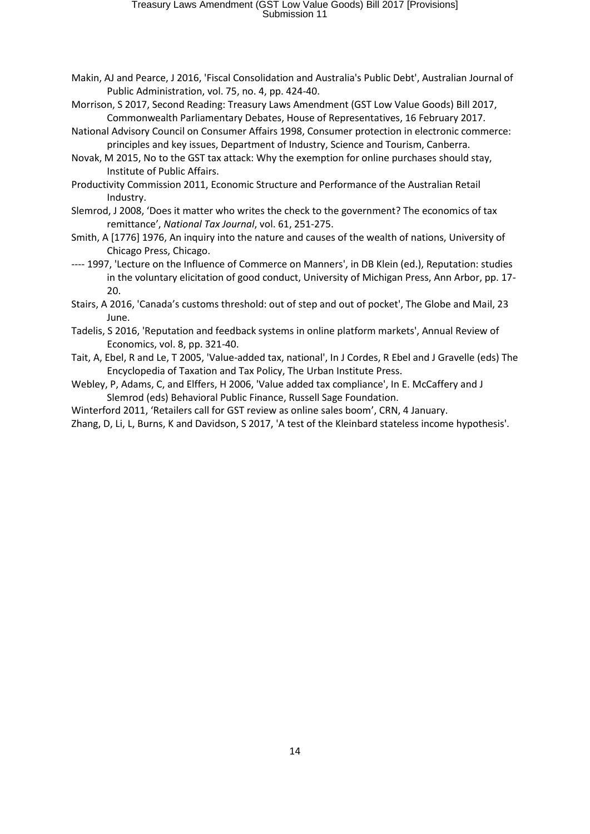- Makin, AJ and Pearce, J 2016, 'Fiscal Consolidation and Australia's Public Debt', Australian Journal of Public Administration, vol. 75, no. 4, pp. 424-40.
- Morrison, S 2017, Second Reading: Treasury Laws Amendment (GST Low Value Goods) Bill 2017, Commonwealth Parliamentary Debates, House of Representatives, 16 February 2017.
- National Advisory Council on Consumer Affairs 1998, Consumer protection in electronic commerce: principles and key issues, Department of Industry, Science and Tourism, Canberra.
- Novak, M 2015, No to the GST tax attack: Why the exemption for online purchases should stay, Institute of Public Affairs.
- Productivity Commission 2011, Economic Structure and Performance of the Australian Retail Industry.
- Slemrod, J 2008, 'Does it matter who writes the check to the government? The economics of tax remittance', *National Tax Journal*, vol. 61, 251-275.
- Smith, A [1776] 1976, An inquiry into the nature and causes of the wealth of nations, University of Chicago Press, Chicago.
- ---- 1997, 'Lecture on the Influence of Commerce on Manners', in DB Klein (ed.), Reputation: studies in the voluntary elicitation of good conduct, University of Michigan Press, Ann Arbor, pp. 17- 20.
- Stairs, A 2016, 'Canada's customs threshold: out of step and out of pocket', The Globe and Mail, 23 June.
- Tadelis, S 2016, 'Reputation and feedback systems in online platform markets', Annual Review of Economics, vol. 8, pp. 321-40.
- Tait, A, Ebel, R and Le, T 2005, 'Value-added tax, national', In J Cordes, R Ebel and J Gravelle (eds) The Encyclopedia of Taxation and Tax Policy, The Urban Institute Press.
- Webley, P, Adams, C, and Elffers, H 2006, 'Value added tax compliance', In E. McCaffery and J Slemrod (eds) Behavioral Public Finance, Russell Sage Foundation.
- Winterford 2011, 'Retailers call for GST review as online sales boom', CRN, 4 January.
- Zhang, D, Li, L, Burns, K and Davidson, S 2017, 'A test of the Kleinbard stateless income hypothesis'.